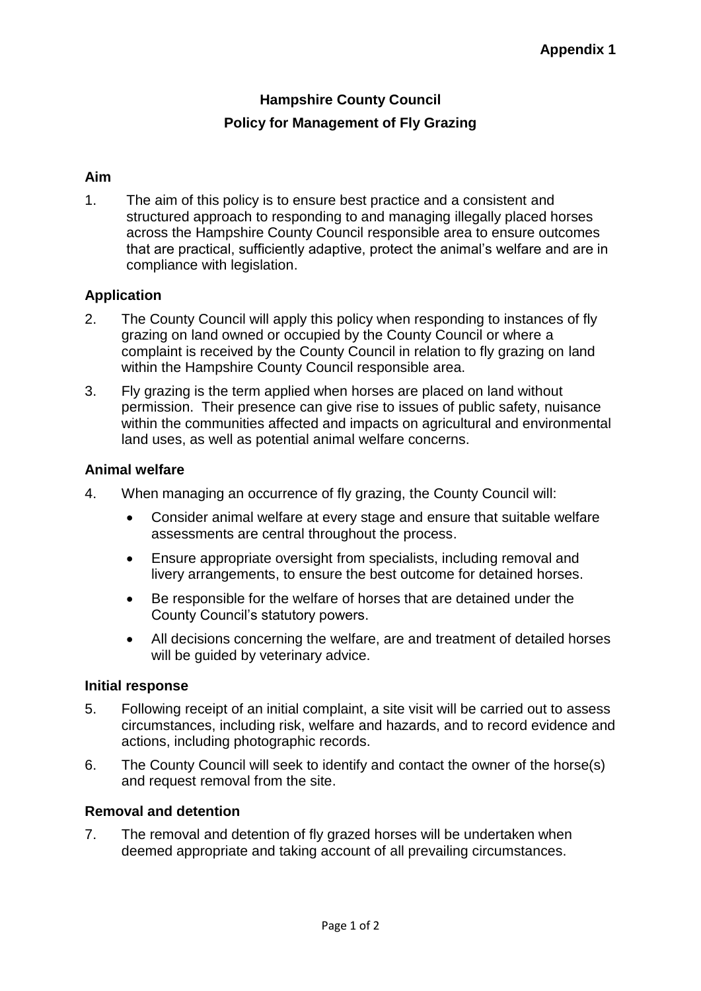# **Hampshire County Council Policy for Management of Fly Grazing**

## **Aim**

1. The aim of this policy is to ensure best practice and a consistent and structured approach to responding to and managing illegally placed horses across the Hampshire County Council responsible area to ensure outcomes that are practical, sufficiently adaptive, protect the animal's welfare and are in compliance with legislation.

## **Application**

- 2. The County Council will apply this policy when responding to instances of fly grazing on land owned or occupied by the County Council or where a complaint is received by the County Council in relation to fly grazing on land within the Hampshire County Council responsible area.
- 3. Fly grazing is the term applied when horses are placed on land without permission. Their presence can give rise to issues of public safety, nuisance within the communities affected and impacts on agricultural and environmental land uses, as well as potential animal welfare concerns.

#### **Animal welfare**

- 4. When managing an occurrence of fly grazing, the County Council will:
	- Consider animal welfare at every stage and ensure that suitable welfare assessments are central throughout the process.
	- Ensure appropriate oversight from specialists, including removal and livery arrangements, to ensure the best outcome for detained horses.
	- Be responsible for the welfare of horses that are detained under the County Council's statutory powers.
	- All decisions concerning the welfare, are and treatment of detailed horses will be guided by veterinary advice.

#### **Initial response**

- 5. Following receipt of an initial complaint, a site visit will be carried out to assess circumstances, including risk, welfare and hazards, and to record evidence and actions, including photographic records.
- 6. The County Council will seek to identify and contact the owner of the horse(s) and request removal from the site.

#### **Removal and detention**

7. The removal and detention of fly grazed horses will be undertaken when deemed appropriate and taking account of all prevailing circumstances.